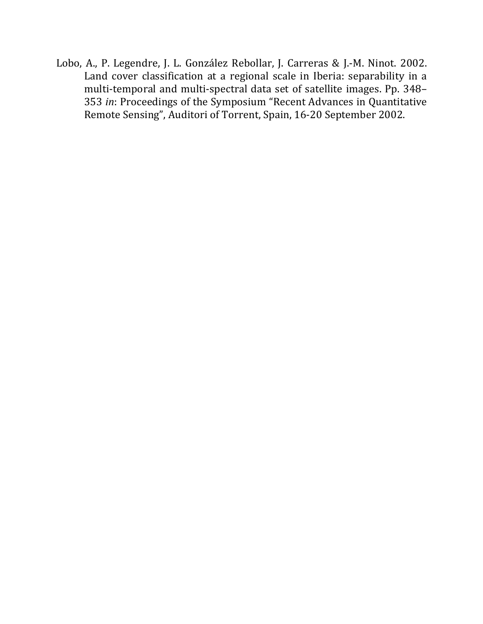Lobo, A., P. Legendre, J. L. González Rebollar, J. Carreras & J.-M. Ninot. 2002. Land cover classification at a regional scale in Iberia: separability in a multi-temporal and multi-spectral data set of satellite images. Pp. 348-353 *in*: Proceedings of the Symposium "Recent Advances in Quantitative Remote Sensing", Auditori of Torrent, Spain, 16-20 September 2002.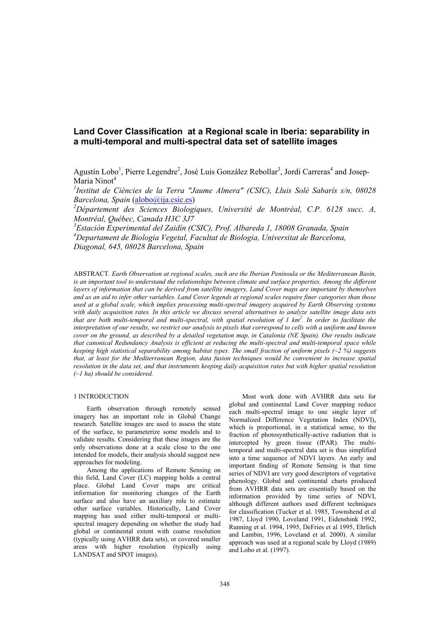# **Land Cover Classification at a Regional scale in Iberia: separability in a multi-temporal and multi-spectral data set of satellite images**

Agustín Lobo<sup>1</sup>, Pierre Legendre<sup>2</sup>, José Luis González Rebollar<sup>3</sup>, Jordi Carreras<sup>4</sup> and Josep-Maria Ninot<sup>4</sup>

*1 Institut de Ciències de la Terra "Jaume Almera" (CSIC), Lluis Solé Sabarís s/n, 08028 Barcelona, Spain* (alobo@ija.csic.es)

*2 Département des Sciences Biologiques, Université de Montréal, C.P. 6128 succ. A, Montréal, Québec, Canada H3C 3J7* 

*3 Estación Experimental del Zaidín (CSIC), Prof. Albareda 1, 18008 Granada, Spain 4 Departament de Biologia Vegetal, Facultat de Biologia, Universitat de Barcelona, Diagonal, 645, 08028 Barcelona, Spain* 

ABSTRACT*. Earth Observation at regional scales, such are the Iberian Peninsula or the Mediterranean Basin,*  is an important tool to understand the relationships between climate and surface properties. Among the different *layers of information that can be derived from satellite imagery, Land Cover maps are important by themselves and as an aid to infer other variables. Land Cover legends at regional scales require finer categories than those used at a global scale, which implies processing multi-spectral imagery acquired by Earth Observing systems with daily acquisition rates. In this article we discuss several alternatives to analyze satellite image data sets that are both multi-temporal and multi-spectral, with spatial resolution of 1 km2 . In order to facilitate the interpretation of our results, we restrict our analysis to pixels that correspond to cells with a uniform and known cover on the ground, as described by a detailed vegetation map, in Catalonia (NE Spain). Our results indicate that canonical Redundancy Analysis is efficient at reducing the multi-spectral and multi-temporal space while keeping high statistical separability among habitat types. The small fraction of uniform pixels (~2 %) suggests that, at least for the Mediterranean Region, data fusion techniques would be convenient to increase spatial resolution in the data set, and that instruments keeping daily acquisition rates but with higher spatial resolution (~1 ha) should be considered.* 

### 1 INTRODUCTION

Earth observation through remotely sensed imagery has an important role in Global Change research. Satellite images are used to assess the state of the surface, to parameterize some models and to validate results. Considering that these images are the only observations done at a scale close to the one intended for models, their analysis should suggest new approaches for modeling.

Among the applications of Remote Sensing on this field, Land Cover (LC) mapping holds a central place. Global Land Cover maps are critical information for monitoring changes of the Earth surface and also have an auxiliary role to estimate other surface variables. Historically, Land Cover mapping has used either multi-temporal or multispectral imagery depending on whether the study had global or continental extent with coarse resolution (typically using AVHRR data sets), or covered smaller areas with higher resolution (typically using LANDSAT and SPOT images).

Most work done with AVHRR data sets for global and continental Land Cover mapping reduce each multi-spectral image to one single layer of Normalized Difference Vegetation Index (NDVI), which is proportional, in a statistical sense, to the fraction of photosynthetically-active radiation that is intercepted by green tissue (fPAR). The multitemporal and multi-spectral data set is thus simplified into a time sequence of NDVI layers. An early and important finding of Remote Sensing is that time series of NDVI are very good descriptors of vegetative phenology. Global and continental charts produced from AVHRR data sets are essentially based on the information provided by time series of NDVI, although different authors used different techniques for classification (Tucker et al. 1985, Townshend et al 1987, Lloyd 1990, Loveland 1991, Eidenshink 1992, Running et al. 1994, 1995, DeFries et al 1995, Ehrlich and Lambin, 1996, Loveland et al. 2000). A similar approach was used at a regional scale by Lloyd (1989) and Lobo et al. (1997).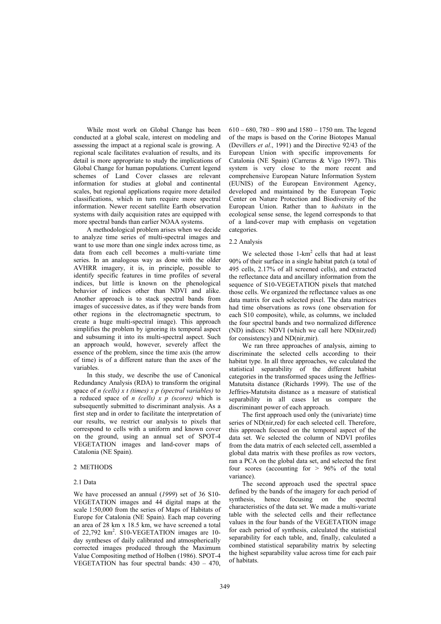While most work on Global Change has been conducted at a global scale, interest on modeling and assessing the impact at a regional scale is growing. A regional scale facilitates evaluation of results, and its detail is more appropriate to study the implications of Global Change for human populations. Current legend schemes of Land Cover classes are relevant information for studies at global and continental scales, but regional applications require more detailed classifications, which in turn require more spectral information. Newer recent satellite Earth observation systems with daily acquisition rates are equipped with more spectral bands than earlier NOAA systems.

A methodological problem arises when we decide to analyze time series of multi-spectral images and want to use more than one single index across time, as data from each cell becomes a multi-variate time series. In an analogous way as done with the older AVHRR imagery, it is, in principle, possible to identify specific features in time profiles of several indices, but little is known on the phenological behavior of indices other than NDVI and alike. Another approach is to stack spectral bands from images of successive dates, as if they were bands from other regions in the electromagnetic spectrum, to create a huge multi-spectral image). This approach simplifies the problem by ignoring its temporal aspect and subsuming it into its multi-spectral aspect. Such an approach would, however, severely affect the essence of the problem, since the time axis (the arrow of time) is of a different nature than the axes of the variables.

In this study, we describe the use of Canonical Redundancy Analysis (RDA) to transform the original space of *n (cells) x t (times) x p (spectral variables)* to a reduced space of *n (cells) x p (scores)* which is subsequently submitted to discriminant analysis. As a first step and in order to facilitate the interpretation of our results, we restrict our analysis to pixels that correspond to cells with a uniform and known cover on the ground, using an annual set of SPOT-4 VEGETATION images and land-cover maps of Catalonia (NE Spain).

# 2 METHODS

### 2.1 Data

We have processed an annual (*1999*) set of 36 S10- VEGETATION images and 44 digital maps at the scale 1:50,000 from the series of Maps of Habitats of Europe for Catalonia (NE Spain). Each map covering an area of 28 km x 18.5 km, we have screened a total of 22,792 km<sup>2</sup>. S10-VEGETATION images are 10day syntheses of daily calibrated and atmospherically corrected images produced through the Maximum Value Compositing method of Holben (1986). SPOT-4 VEGETATION has four spectral bands: 430 – 470,

 $610 - 680$ ,  $780 - 890$  and  $1580 - 1750$  nm. The legend of the maps is based on the Corine Biotopes Manual (Devillers *et al*., 1991) and the Directive 92/43 of the European Union with specific improvements for Catalonia (NE Spain) (Carreras & Vigo 1997). This system is very close to the more recent and comprehensive European Nature Information System (EUNIS) of the European Environment Agency, developed and maintained by the European Topic Center on Nature Protection and Biodiversity of the European Union. Rather than to *habitats* in the ecological sense sense, the legend corresponds to that of a land-cover map with emphasis on vegetation categories.

### 2.2 Analysis

We selected those  $1-km^2$  cells that had at least 90% of their surface in a single habitat patch (a total of 495 cells, 2.17% of all screened cells), and extracted the reflectance data and ancillary information from the sequence of S10-VEGETATION pixels that matched those cells. We organized the reflectance values as one data matrix for each selected pixel. The data matrices had time observations as rows (one observation for each S10 composite), while, as columns, we included the four spectral bands and two normalized difference (ND) indices: NDVI (which we call here ND(nir,red) for consistency) and ND(nir,mir).

We ran three approaches of analysis, aiming to discriminate the selected cells according to their habitat type. In all three approaches, we calculated the statistical separability of the different habitat categories in the transformed spaces using the Jeffries-Matutsita distance (Richards 1999). The use of the Jeffries-Matutsita distance as a measure of statistical separability in all cases let us compare the discriminant power of each approach.

The first approach used only the (univariate) time series of ND(nir,red) for each selected cell. Therefore, this approach focused on the temporal aspect of the data set. We selected the column of NDVI profiles from the data matrix of each selected cell, assembled a global data matrix with these profiles as row vectors, ran a PCA on the global data set, and selected the first four scores (accounting for  $> 96\%$  of the total variance).

The second approach used the spectral space defined by the bands of the imagery for each period of synthesis, hence focusing on the spectral characteristics of the data set. We made a multi-variate table with the selected cells and their reflectance values in the four bands of the VEGETATION image for each period of synthesis, calculated the statistical separability for each table, and, finally, calculated a combined statistical separability matrix by selecting the highest separability value across time for each pair of habitats.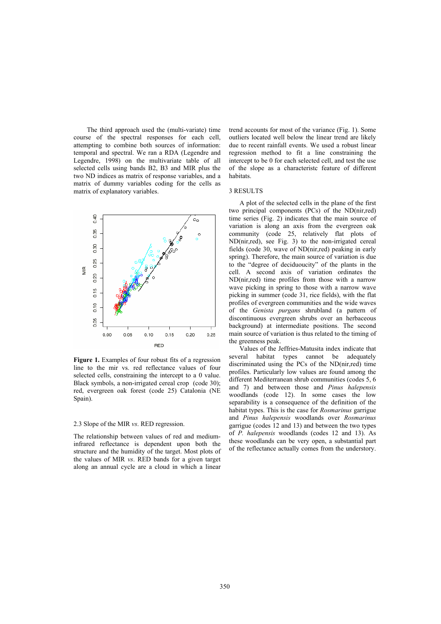The third approach used the (multi-variate) time course of the spectral responses for each cell, attempting to combine both sources of information: temporal and spectral. We ran a RDA (Legendre and Legendre, 1998) on the multivariate table of all selected cells using bands B2, B3 and MIR plus the two ND indices as matrix of response variables, and a matrix of dummy variables coding for the cells as matrix of explanatory variables.



**Figure 1.** Examples of four robust fits of a regression line to the mir vs. red reflectance values of four selected cells, constraining the intercept to a 0 value. Black symbols, a non-irrigated cereal crop (code 30); red, evergreen oak forest (code 25) Catalonia (NE Spain).

### 2.3 Slope of the MIR *vs*. RED regression.

The relationship between values of red and mediuminfrared reflectance is dependent upon both the structure and the humidity of the target. Most plots of the values of MIR *vs*. RED bands for a given target along an annual cycle are a cloud in which a linear trend accounts for most of the variance (Fig. 1). Some outliers located well below the linear trend are likely due to recent rainfall events. We used a robust linear regression method to fit a line constraining the intercept to be 0 for each selected cell, and test the use of the slope as a characteristc feature of different habitats.

#### 3 RESULTS

A plot of the selected cells in the plane of the first two principal components (PCs) of the ND(nir,red) time series (Fig. 2) indicates that the main source of variation is along an axis from the evergreen oak community (code 25, relatively flat plots of ND(nir,red), see Fig. 3) to the non-irrigated cereal fields (code 30, wave of ND(nir,red) peaking in early spring). Therefore, the main source of variation is due to the "degree of deciduoucity" of the plants in the cell. A second axis of variation ordinates the ND(nir,red) time profiles from those with a narrow wave picking in spring to those with a narrow wave picking in summer (code 31, rice fields), with the flat profiles of evergreen communities and the wide waves of the *Genista purgans* shrubland (a pattern of discontinuous evergreen shrubs over an herbaceous background) at intermediate positions. The second main source of variation is thus related to the timing of the greenness peak.

Values of the Jeffries-Matusita index indicate that several habitat types cannot be adequately discriminated using the PCs of the ND(nir,red) time profiles. Particularly low values are found among the different Mediterranean shrub communities (codes 5, 6 and 7) and between those and *Pinus halepensis* woodlands (code 12). In some cases the low separability is a consequence of the definition of the habitat types. This is the case for *Rosmarinus* garrigue and *Pinus halepensis* woodlands over *Rosmarinus*  garrigue (codes 12 and 13) and between the two types of *P. halepensis* woodlands (codes 12 and 13). As these woodlands can be very open, a substantial part of the reflectance actually comes from the understory.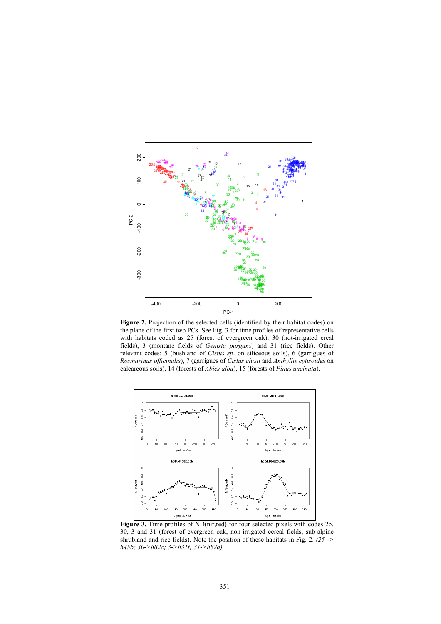

**Figure 2.** Projection of the selected cells (identified by their habitat codes) on the plane of the first two PCs. See Fig. 3 for time profiles of representative cells with habitats coded as 25 (forest of evergreen oak), 30 (not-irrigated creal fields), 3 (montane fields of *Genista purgans*) and 31 (rice fields). Other relevant codes: 5 (bushland of *Cistus sp*. on siliceous soils), 6 (garrigues of *Rosmarinus officinalis*), 7 (garrigues of *Cistus clusii* and *Anthyllis cytisoides* on calcareous soils), 14 (forests of *Abies alba*), 15 (forests of *Pinus uncinata*).



Figure 3. Time profiles of ND(nir,red) for four selected pixels with codes 25, 30, 3 and 31 (forest of evergreen oak, non-irrigated cereal fields, sub-alpine shrubland and rice fields). Note the position of these habitats in Fig. 2. *(25 -> h45b; 30->h82c; 3->h31t; 31->h82d)*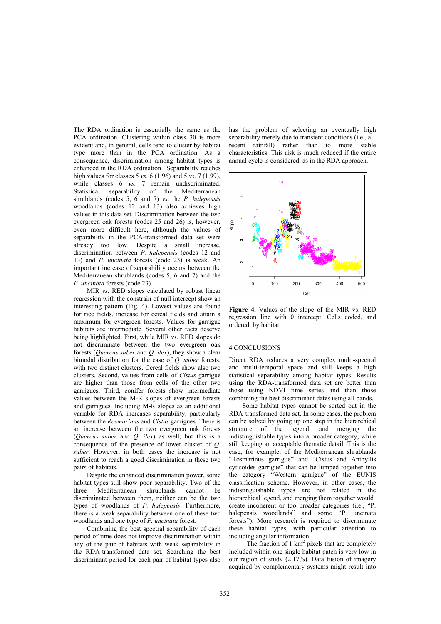The RDA ordination is essentially the same as the PCA ordination. Clustering within class 30 is more evident and, in general, cells tend to cluster by habitat type more than in the PCA ordination. As a consequence, discrimination among habitat types is enhanced in the RDA ordination . Separability reaches high values for classes 5 *vs*. 6 (1.96) and 5 *vs*. 7 (1.99), while classes 6 *vs*. 7 remain undiscriminated. Statistical separability of the Mediterranean shrublands (codes 5, 6 and 7) *vs*. the *P. halepensis* woodlands (codes 12 and 13) also achieves high values in this data set. Discrimination between the two evergreen oak forests (codes 25 and 26) is, however, even more difficult here, although the values of separability in the PCA-transformed data set were already too low. Despite a small increase, discrimination between *P. halepensis* (codes 12 and 13) and *P. uncinata* forests (code 23) is weak. An important increase of separability occurs between the Mediterranean shrublands (codes 5, 6 and 7) and the *P. uncinata* forests (code 23).

MIR *vs*. RED slopes calculated by robust linear regression with the constrain of null intercept show an interesting pattern (Fig. 4). Lowest values are found for rice fields, increase for cereal fields and attain a maximum for evergreen forests. Values for garrigue habitats are intermediate. Several other facts deserve being highlighted. First, while MIR *vs*. RED slopes do not discriminate between the two evergreen oak forests (*Quercus suber* and *Q. ilex*), they show a clear bimodal distribution for the case of *Q. suber* forests, with two distinct clusters. Cereal fields show also two clusters. Second, values from cells of *Cistus* garrigue are higher than those from cells of the other two garrigues. Third, conifer forests show intermediate values between the M-R slopes of evergreen forests and garrigues. Including M-R slopes as an additional variable for RDA increases separability, particularly between the *Rosmarinus* and *Cistus* garrigues. There is an increase between the two evergreen oak forests (*Quercus suber* and *Q. ilex*) as well, but this is a consequence of the presence of lower cluster of *Q. suber*. However, in both cases the increase is not sufficient to reach a good discrimination in these two pairs of habitats.

Despite the enhanced discrimination power, some habitat types still show poor separability. Two of the three Mediterranean shrublands cannot be discriminated between them, neither can be the two types of woodlands of *P. halepensis*. Furthermore, there is a weak separability between one of these two woodlands and one type of *P. uncinata* forest.

Combining the best spectral separability of each period of time does not improve discrimination within any of the pair of habitats with weak separability in the RDA-transformed data set. Searching the best discriminant period for each pair of habitat types also has the problem of selecting an eventually high separability merely due to transient conditions (i.e., a recent rainfall) rather than to more stable characteristics. This risk is much reduced if the entire annual cycle is considered, as in the RDA approach.



**Figure 4.** Values of the slope of the MIR vs. RED regression line with 0 intercept. Cells coded, and ordered, by habitat.

### 4 CONCLUSIONS

Direct RDA reduces a very complex multi-spectral and multi-temporal space and still keeps a high statistical separability among habitat types. Results using the RDA-transformed data set are better than those using NDVI time series and than those combining the best discriminant dates using all bands.

Some habitat types cannot be sorted out in the RDA-transformed data set. In some cases, the problem can be solved by going up one step in the hierarchical structure of the legend, and merging the indistinguishable types into a broader category, while still keeping an acceptable thematic detail. This is the case, for example, of the Mediterranean shrublands "Rosmarinus garrigue" and "Cistus and Anthyllis cytisoides garrigue" that can be lumped together into the category "Western garrigue" of the EUNIS classification scheme. However, in other cases, the indistinguishable types are not related in the hierarchical legend, and merging them together would create incoherent or too broader categories (i.e., "P. halepensis woodlands" and some "P. uncinata forests"). More research is required to discriminate these habitat types, with particular attention to including angular information.

The fraction of  $1 \text{ km}^2$  pixels that are completely included within one single habitat patch is very low in our region of study (2.17%). Data fusion of imagery acquired by complementary systems might result into